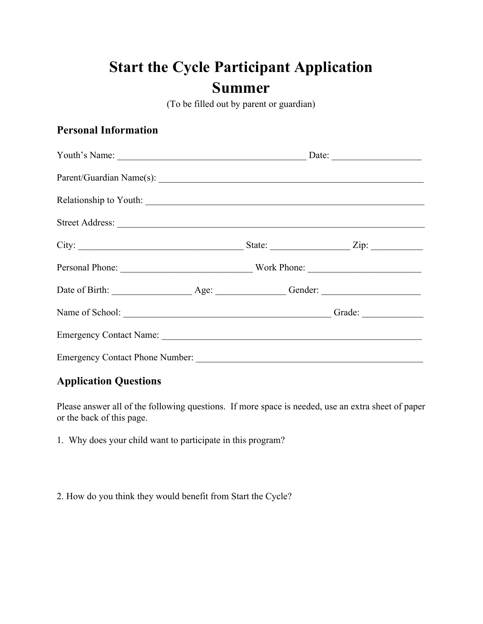# **Start the Cycle Participant Application Summer**

(To be filled out by parent or guardian)

### **Personal Information**

|                                                                                                                                                                                                                                |                                         |  |  | State: $\angle$ Zip: $\angle$ |  |  |
|--------------------------------------------------------------------------------------------------------------------------------------------------------------------------------------------------------------------------------|-----------------------------------------|--|--|-------------------------------|--|--|
|                                                                                                                                                                                                                                | Personal Phone: Work Phone: Work Phone: |  |  |                               |  |  |
|                                                                                                                                                                                                                                |                                         |  |  |                               |  |  |
| Name of School: Camera Contact Contact Contact Contact Contact Contact Contact Contact Contact Contact Contact Contact Contact Contact Contact Contact Contact Contact Contact Contact Contact Contact Contact Contact Contact |                                         |  |  |                               |  |  |
|                                                                                                                                                                                                                                |                                         |  |  |                               |  |  |
|                                                                                                                                                                                                                                |                                         |  |  |                               |  |  |

### **Application Questions**

Please answer all of the following questions. If more space is needed, use an extra sheet of paper or the back of this page.

1. Why does your child want to participate in this program?

2. How do you think they would benefit from Start the Cycle?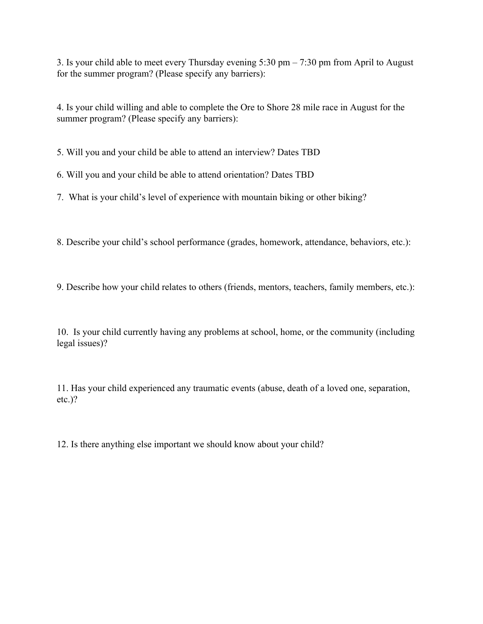3. Is your child able to meet every Thursday evening 5:30 pm – 7:30 pm from April to August for the summer program? (Please specify any barriers):

4. Is your child willing and able to complete the Ore to Shore 28 mile race in August for the summer program? (Please specify any barriers):

5. Will you and your child be able to attend an interview? Dates TBD

6. Will you and your child be able to attend orientation? Dates TBD

7. What is your child's level of experience with mountain biking or other biking?

8. Describe your child's school performance (grades, homework, attendance, behaviors, etc.):

9. Describe how your child relates to others (friends, mentors, teachers, family members, etc.):

10. Is your child currently having any problems at school, home, or the community (including legal issues)?

11. Has your child experienced any traumatic events (abuse, death of a loved one, separation, etc.)?

12. Is there anything else important we should know about your child?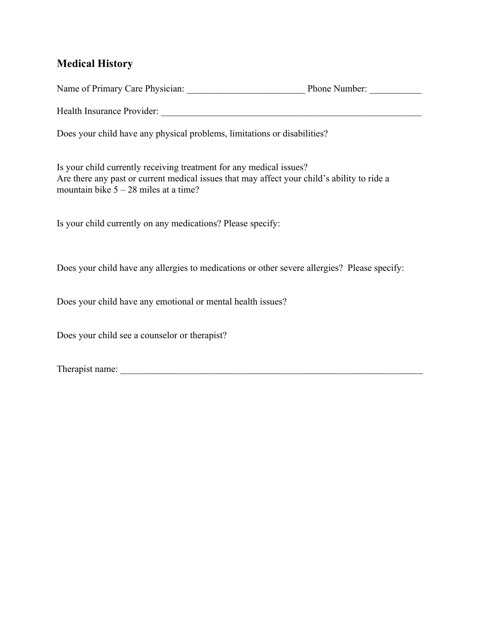### **Medical History**

Name of Primary Care Physician: \_\_\_\_\_\_\_\_\_\_\_\_\_\_\_\_\_\_\_\_\_\_\_\_\_ Phone Number: \_\_\_\_\_\_\_\_\_\_\_

Health Insurance Provider:

Does your child have any physical problems, limitations or disabilities?

Is your child currently receiving treatment for any medical issues? Are there any past or current medical issues that may affect your child's ability to ride a mountain bike  $5 - 28$  miles at a time?

Is your child currently on any medications? Please specify:

Does your child have any allergies to medications or other severe allergies? Please specify:

Does your child have any emotional or mental health issues?

Does your child see a counselor or therapist?

Therapist name: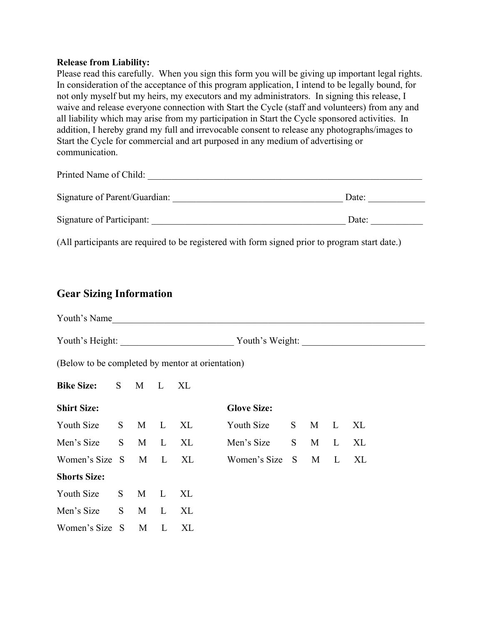#### **Release from Liability:**

Please read this carefully. When you sign this form you will be giving up important legal rights. In consideration of the acceptance of this program application, I intend to be legally bound, for not only myself but my heirs, my executors and my administrators. In signing this release, I waive and release everyone connection with Start the Cycle (staff and volunteers) from any and all liability which may arise from my participation in Start the Cycle sponsored activities. In addition, I hereby grand my full and irrevocable consent to release any photographs/images to Start the Cycle for commercial and art purposed in any medium of advertising or communication.

| Printed Name of Child:        |       |
|-------------------------------|-------|
| Signature of Parent/Guardian: | Date: |
| Signature of Participant:     | Date: |

(All participants are required to be registered with form signed prior to program start date.)

#### **Gear Sizing Information**

| Youth's Name                                     |    |   |              |    |                    |     |   |              |    |  |
|--------------------------------------------------|----|---|--------------|----|--------------------|-----|---|--------------|----|--|
| Youth's Weight:                                  |    |   |              |    |                    |     |   |              |    |  |
| (Below to be completed by mentor at orientation) |    |   |              |    |                    |     |   |              |    |  |
| <b>Bike Size:</b>                                | S. | M | L            | XL |                    |     |   |              |    |  |
| <b>Shirt Size:</b>                               |    |   |              |    | <b>Glove Size:</b> |     |   |              |    |  |
| Youth Size                                       | S. | M | $\mathbf{L}$ | XL | Youth Size         | S   | M | $\mathbf{L}$ | XL |  |
| Men's Size                                       | S. | M | $\mathbf{L}$ | XL | Men's Size         | S   | M | L            | XL |  |
| Women's Size                                     | S. | M | $\mathbf{L}$ | XL | Women's Size       | - S | M | $\mathbf{L}$ | XL |  |
| <b>Shorts Size:</b>                              |    |   |              |    |                    |     |   |              |    |  |
| Youth Size                                       | S  | M | $\mathbf{L}$ | XL |                    |     |   |              |    |  |
| Men's Size                                       | S. | M | $\mathbf{L}$ | XL |                    |     |   |              |    |  |
| Women's Size S                                   |    | M | L            | XL |                    |     |   |              |    |  |